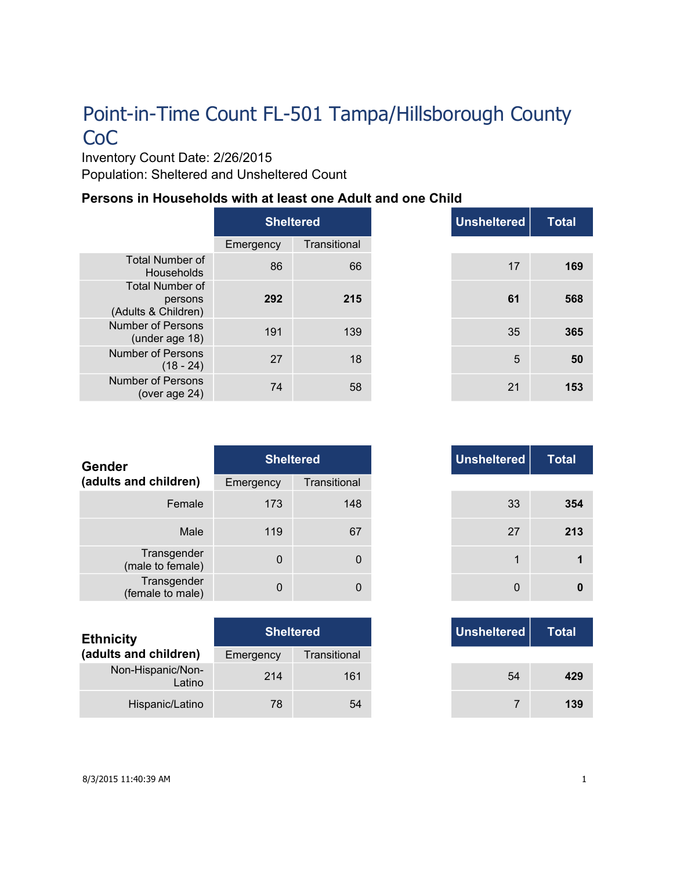Inventory Count Date: 2/26/2015 Population: Sheltered and Unsheltered Count

#### **Persons in Households with at least one Adult and one Child**

|                                                          | <b>Sheltered</b> |              |
|----------------------------------------------------------|------------------|--------------|
|                                                          | Emergency        | Transitional |
| <b>Total Number of</b><br>Households                     | 86               | 66           |
| <b>Total Number of</b><br>persons<br>(Adults & Children) | 292              | 215          |
| Number of Persons<br>(under age 18)                      | 191              | 139          |
| <b>Number of Persons</b><br>$(18 - 24)$                  | 27               | 18           |
| Number of Persons<br>(over age 24)                       | 74               | 58           |

| <b>Sheltered</b> |              |
|------------------|--------------|
| ncy              | Transitional |
| 86               | 66           |
| 292              | 215          |
| 191              | 139          |
| 27               | 18           |
| 74               | 58           |

| Gender                          |           | <b>Sheltered</b> | <b>Unsheltered</b> |
|---------------------------------|-----------|------------------|--------------------|
| (adults and children)           | Emergency | Transitional     |                    |
| Female                          | 173       | 148              | 33                 |
| Male                            | 119       | 67               | 27                 |
| Transgender<br>(male to female) | $\Omega$  | 0                | 1                  |
| Transgender<br>(female to male) | $\Omega$  | 0                | $\Omega$           |

| <b>Ethnicity</b>            |           | <b>Sheltered</b> | Unsheltered |
|-----------------------------|-----------|------------------|-------------|
| (adults and children)       | Emergency | Transitional     |             |
| Non-Hispanic/Non-<br>Latino | 214       | 161              | 54          |
| Hispanic/Latino             | 78        | 54               |             |

|          | <b>Sheltered</b> |
|----------|------------------|
|          | Transitional     |
| 173      | 148              |
| 119      | 67               |
| $\Omega$ | $\mathbf 0$      |
| 0        | 0                |

| <b>Sheltered</b> |              |
|------------------|--------------|
| ncy              | Transitional |
| 214              | 161          |
| 78               | 54           |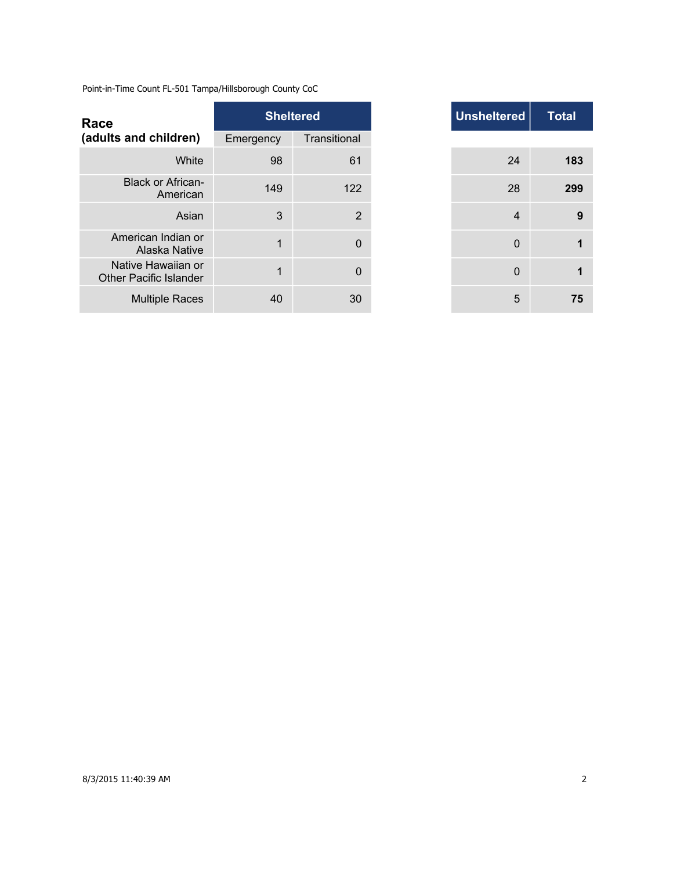| Race                                                |           | <b>Sheltered</b> |
|-----------------------------------------------------|-----------|------------------|
| (adults and children)                               | Emergency | Transitional     |
| White                                               | 98        | 61               |
| <b>Black or African-</b><br>American                | 149       | 122              |
| Asian                                               | 3         | $\overline{2}$   |
| American Indian or<br>Alaska Native                 | 1         | 0                |
| Native Hawaiian or<br><b>Other Pacific Islander</b> | 1         | 0                |
| <b>Multiple Races</b>                               | 40        | 30               |

|              | <b>Sheltered</b> |
|--------------|------------------|
| าcy          | Transitional     |
| 98           | 61               |
| 149          | 122              |
| 3            | $\overline{2}$   |
| $\mathbf{1}$ | 0                |
| $\mathbf{1}$ | 0                |
| 40           | 30               |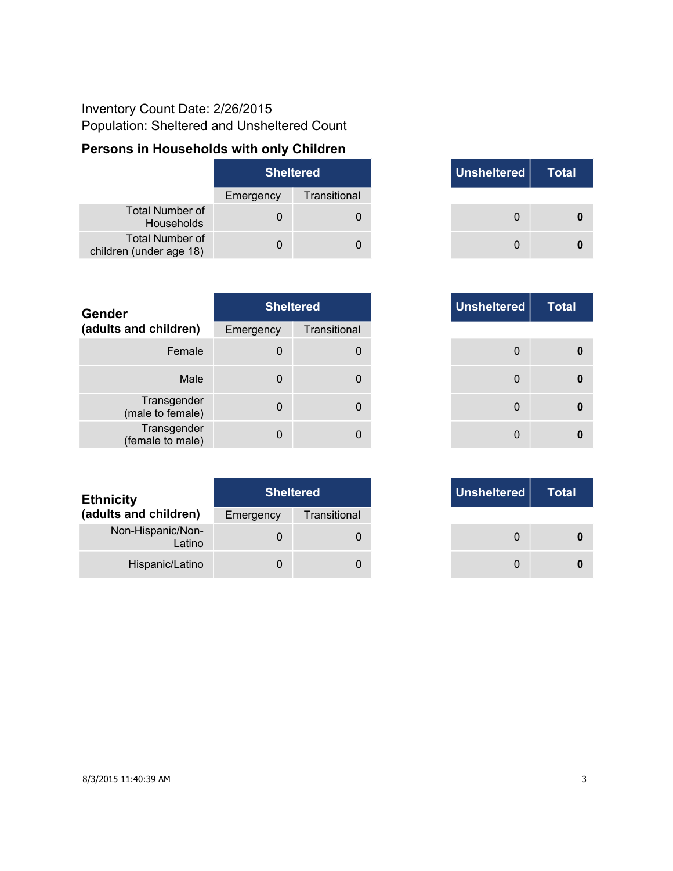# Inventory Count Date: 2/26/2015 Population: Sheltered and Unsheltered Count

# **Persons in Households with only Children**

|                                                   |           | <b>Sheltered</b> |  |
|---------------------------------------------------|-----------|------------------|--|
|                                                   | Emergency | Transitional     |  |
| <b>Total Number of</b><br>Households              |           |                  |  |
| <b>Total Number of</b><br>children (under age 18) |           |                  |  |

| Gender                          | <b>Sheltered</b> |              |
|---------------------------------|------------------|--------------|
| (adults and children)           | Emergency        | Transitional |
| Female                          | 0                | 0            |
| Male                            | $\mathbf 0$      | 0            |
| Transgender<br>(male to female) | $\Omega$         | 0            |
| Transgender<br>(female to male) | $\Omega$         | 0            |

| <b>Ethnicity</b>            |           | <b>Sheltered</b> |
|-----------------------------|-----------|------------------|
| (adults and children)       | Emergency | Transitional     |
| Non-Hispanic/Non-<br>Latino | 0         |                  |
| Hispanic/Latino             |           |                  |

|     | <b>Sheltered</b> |
|-----|------------------|
| ιсγ | Transitional     |
| 0   |                  |
|     |                  |

|          | <b>Sheltered</b> |
|----------|------------------|
| าcy      | Transitional     |
| $\Omega$ | $\Omega$         |
| $\Omega$ | $\Omega$         |
| $\Omega$ | $\Omega$         |
|          | O                |

|     | <b>Sheltered</b> | Unsheltered |  |
|-----|------------------|-------------|--|
| ٦CV | Transitional     |             |  |
|     |                  |             |  |
|     |                  |             |  |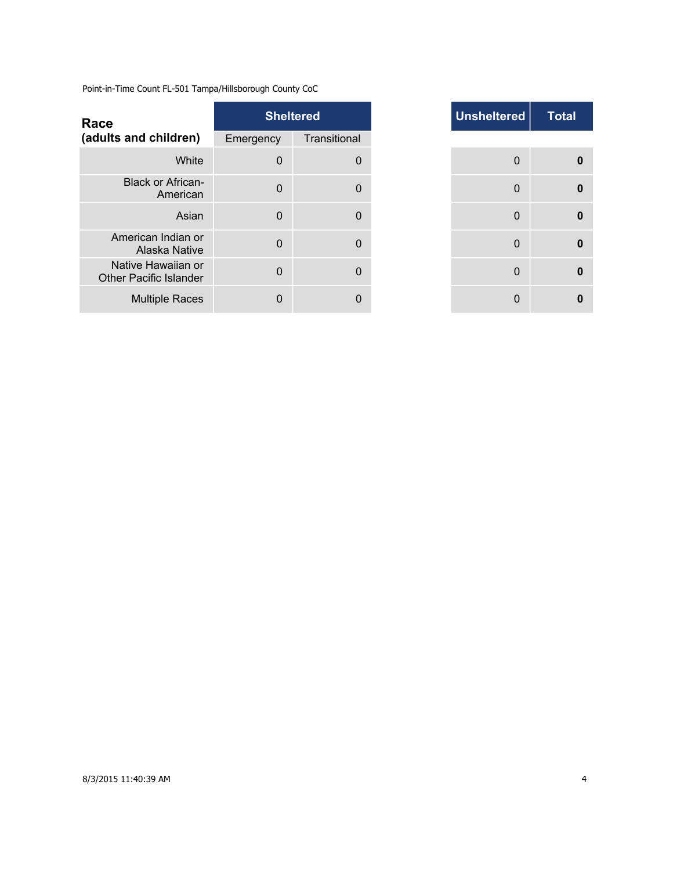| <b>Unsheltered</b><br><b>Sheltered</b><br>Race                       |
|----------------------------------------------------------------------|
| (adults and children)<br>Transitional<br>Emergency                   |
| White<br>$\mathbf 0$<br>$\mathbf 0$                                  |
| <b>Black or African-</b><br>$\Omega$<br>$\Omega$<br>American         |
| $\Omega$<br>Asian<br>0                                               |
| American Indian or<br>$\mathbf 0$<br>0<br>Alaska Native              |
| Native Hawaiian or<br>$\Omega$<br>0<br><b>Other Pacific Islander</b> |
| <b>Multiple Races</b><br>$\Omega$<br>0                               |

|              | <b>Sheltered</b> |
|--------------|------------------|
| าcy          | Transitional     |
| $\mathbf{0}$ | $\mathbf 0$      |
| $\Omega$     | $\Omega$         |
| $\Omega$     | $\Omega$         |
| $\Omega$     | $\Omega$         |
| $\Omega$     | $\Omega$         |
| O            | 0                |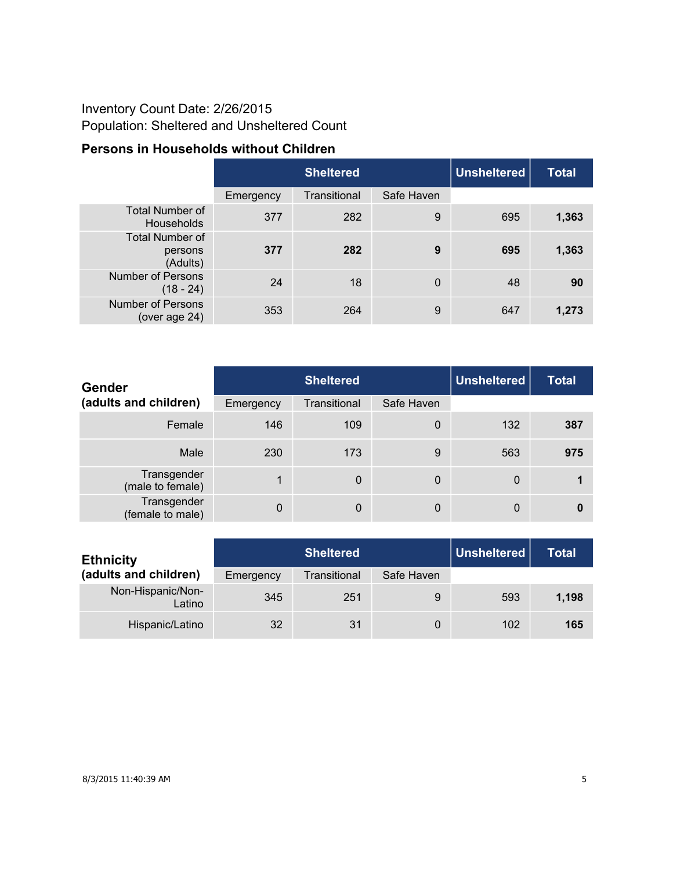# Inventory Count Date: 2/26/2015 Population: Sheltered and Unsheltered Count

## **Persons in Households without Children**

|                                               | <b>Sheltered</b> |              |            | <b>Unsheltered</b> | <b>Total</b> |
|-----------------------------------------------|------------------|--------------|------------|--------------------|--------------|
|                                               | Emergency        | Transitional | Safe Haven |                    |              |
| <b>Total Number of</b><br><b>Households</b>   | 377              | 282          | 9          | 695                | 1,363        |
| <b>Total Number of</b><br>persons<br>(Adults) | 377              | 282          | 9          | 695                | 1,363        |
| <b>Number of Persons</b><br>$(18 - 24)$       | 24               | 18           | $\Omega$   | 48                 | 90           |
| <b>Number of Persons</b><br>(over age 24)     | 353              | 264          | 9          | 647                | 1,273        |

| <b>Gender</b>                   |           | <b>Sheltered</b> |            | <b>Unsheltered</b> | <b>Total</b> |
|---------------------------------|-----------|------------------|------------|--------------------|--------------|
| (adults and children)           | Emergency | Transitional     | Safe Haven |                    |              |
| Female                          | 146       | 109              | 0          | 132                | 387          |
| Male                            | 230       | 173              | 9          | 563                | 975          |
| Transgender<br>(male to female) | 1         | $\mathbf 0$      | 0          | $\Omega$           |              |
| Transgender<br>(female to male) | $\Omega$  | $\mathbf 0$      | 0          | 0                  | 0            |

| <b>Ethnicity</b>            |           | <b>Sheltered</b> |            | Unsheltered | <b>Total</b> |
|-----------------------------|-----------|------------------|------------|-------------|--------------|
| (adults and children)       | Emergency | Transitional     | Safe Haven |             |              |
| Non-Hispanic/Non-<br>Latino | 345       | 251              | 9          | 593         | 1,198        |
| Hispanic/Latino             | 32        | 31               | 0          | 102         | 165          |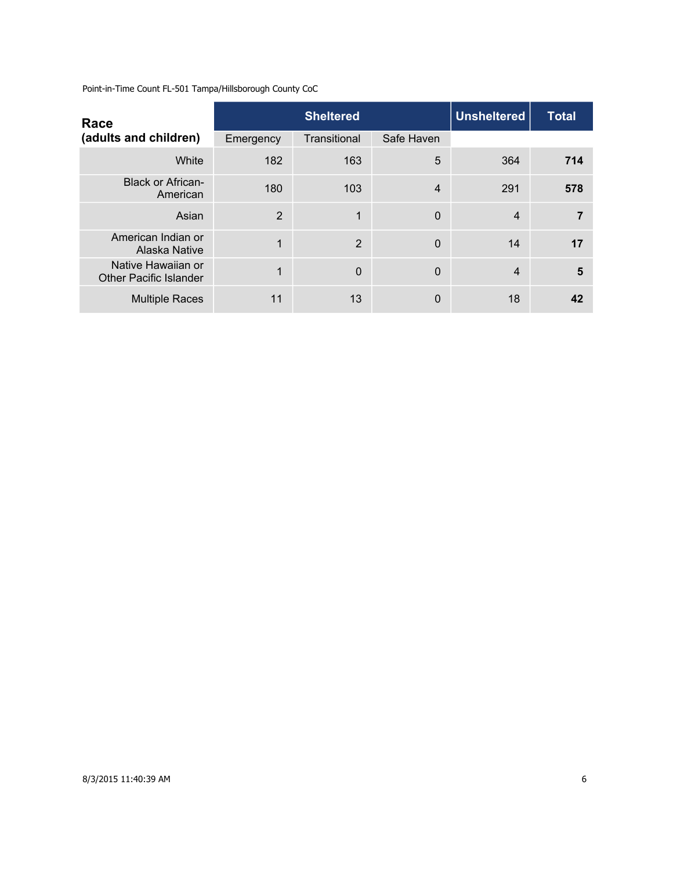| Race                                                |           | <b>Sheltered</b> |            | Unsheltered | <b>Total</b> |
|-----------------------------------------------------|-----------|------------------|------------|-------------|--------------|
| (adults and children)                               | Emergency | Transitional     | Safe Haven |             |              |
| White                                               | 182       | 163              | 5          | 364         | 714          |
| <b>Black or African-</b><br>American                | 180       | 103              | 4          | 291         | 578          |
| Asian                                               | 2         | 1                | 0          | 4           |              |
| American Indian or<br>Alaska Native                 | 1         | 2                | 0          | 14          | 17           |
| Native Hawaiian or<br><b>Other Pacific Islander</b> | 1         | $\mathbf{0}$     | 0          | 4           | 5            |
| <b>Multiple Races</b>                               | 11        | 13               | 0          | 18          | 42           |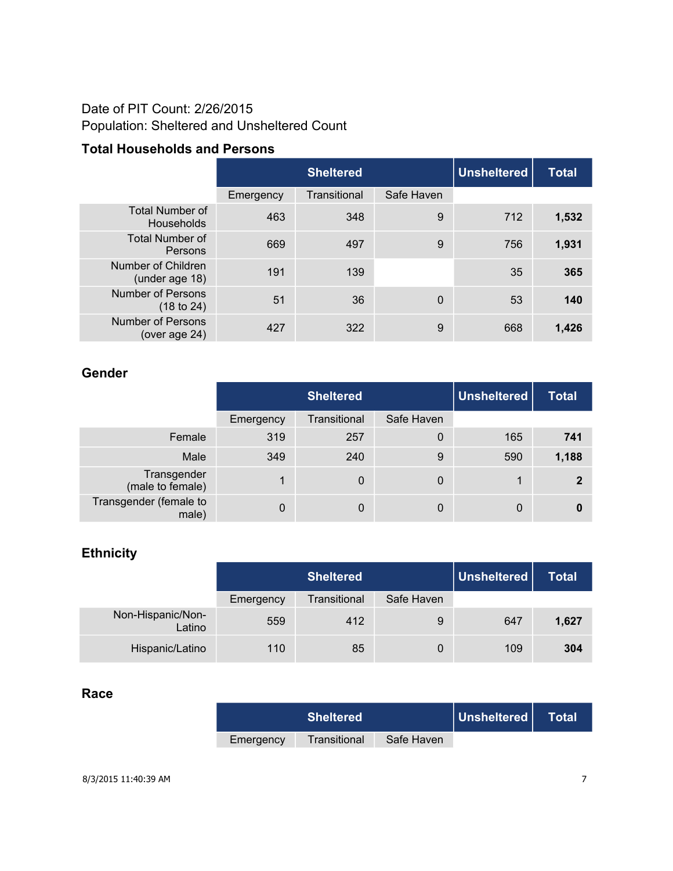# Date of PIT Count: 2/26/2015 Population: Sheltered and Unsheltered Count

### **Total Households and Persons**

|                                        |           | <b>Sheltered</b> |            | <b>Unsheltered</b> | <b>Total</b> |
|----------------------------------------|-----------|------------------|------------|--------------------|--------------|
|                                        | Emergency | Transitional     | Safe Haven |                    |              |
| <b>Total Number of</b><br>Households   | 463       | 348              | 9          | 712                | 1,532        |
| <b>Total Number of</b><br>Persons      | 669       | 497              | 9          | 756                | 1,931        |
| Number of Children<br>(under age 18)   | 191       | 139              |            | 35                 | 365          |
| <b>Number of Persons</b><br>(18 to 24) | 51        | 36               | 0          | 53                 | 140          |
| Number of Persons<br>(over age 24)     | 427       | 322              | 9          | 668                | 1,426        |

### **Gender**

|                                 |           | <b>Sheltered</b> |            | <b>Unsheltered</b> | <b>Total</b> |
|---------------------------------|-----------|------------------|------------|--------------------|--------------|
|                                 | Emergency | Transitional     | Safe Haven |                    |              |
| Female                          | 319       | 257              | 0          | 165                | 741          |
| Male                            | 349       | 240              | 9          | 590                | 1,188        |
| Transgender<br>(male to female) |           | $\mathbf 0$      | 0          | 1                  | 2            |
| Transgender (female to<br>male) | 0         | 0                | 0          | 0                  |              |

# **Ethnicity**

|                             |           | <b>Sheltered</b> |            | Unsheltered | <b>Total</b> |
|-----------------------------|-----------|------------------|------------|-------------|--------------|
|                             | Emergency | Transitional     | Safe Haven |             |              |
| Non-Hispanic/Non-<br>Latino | 559       | 412              | 9          | 647         | 1,627        |
| Hispanic/Latino             | 110       | 85               | 0          | 109         | 304          |

### **Race**

| <b>Sheltered</b> |              |            | Unsheltered | N Total\ |
|------------------|--------------|------------|-------------|----------|
| Emergency        | Transitional | Safe Haven |             |          |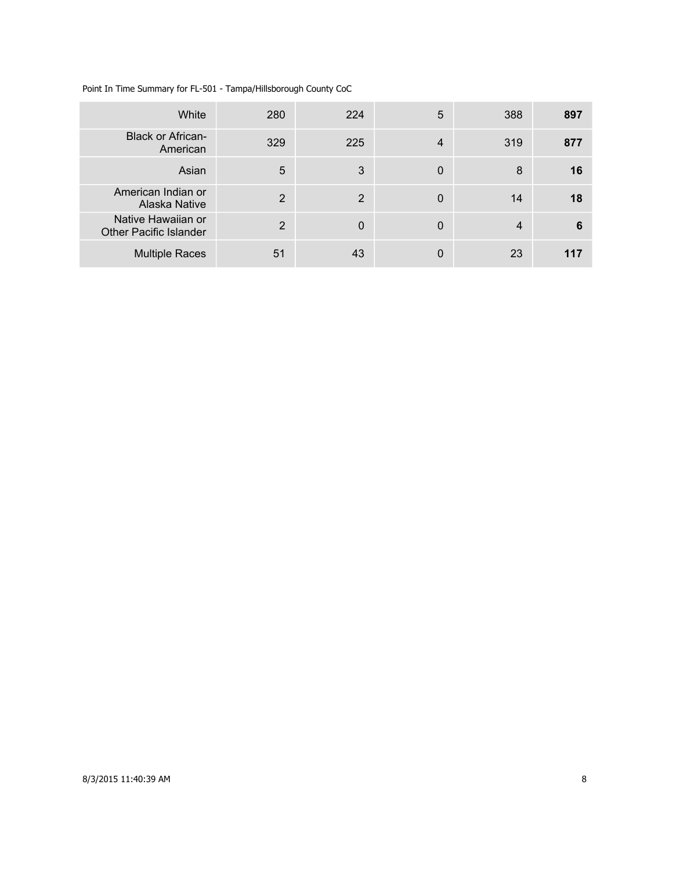| Point In Time Summary for FL-501 - Tampa/Hillsborough County CoC |  |
|------------------------------------------------------------------|--|
|------------------------------------------------------------------|--|

| White                                               | 280            | 224         | 5              | 388 | 897 |
|-----------------------------------------------------|----------------|-------------|----------------|-----|-----|
| <b>Black or African-</b><br>American                | 329            | 225         | $\overline{4}$ | 319 | 877 |
| Asian                                               | 5              | 3           | $\Omega$       | 8   | 16  |
| American Indian or<br>Alaska Native                 | $\overline{2}$ | 2           | $\Omega$       | 14  | 18  |
| Native Hawaiian or<br><b>Other Pacific Islander</b> | $\overline{2}$ | $\mathbf 0$ | $\Omega$       | 4   | 6   |
| <b>Multiple Races</b>                               | 51             | 43          | 0              | 23  | 117 |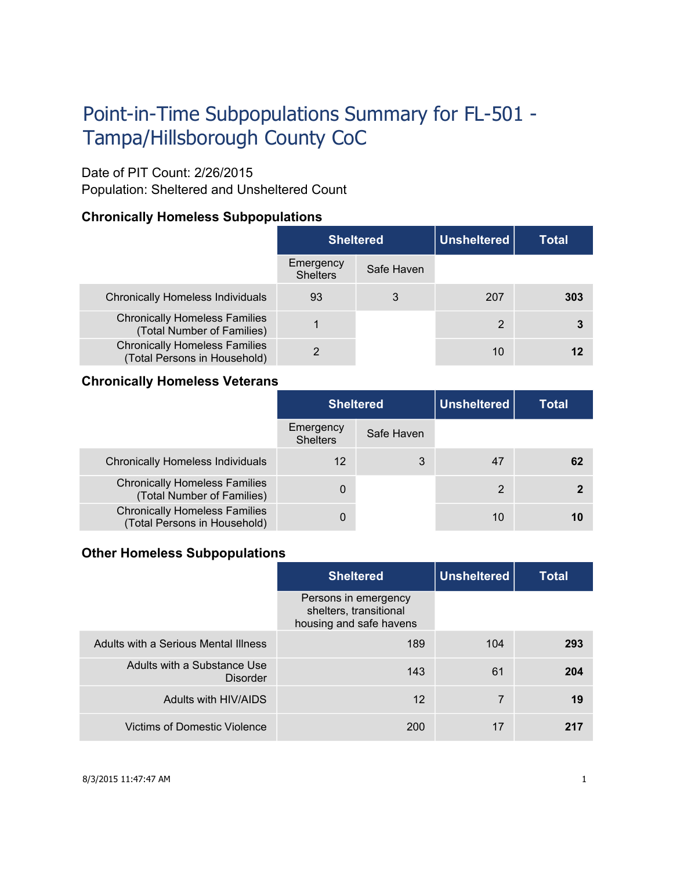# Point-in-Time Subpopulations Summary for FL-501 - Tampa/Hillsborough County CoC

#### Date of PIT Count: 2/26/2015

Population: Sheltered and Unsheltered Count

#### **Chronically Homeless Subpopulations**

|                                                                      | <b>Sheltered</b>             |            | <b>Unsheltered</b> | Total |
|----------------------------------------------------------------------|------------------------------|------------|--------------------|-------|
|                                                                      | Emergency<br><b>Shelters</b> | Safe Haven |                    |       |
| <b>Chronically Homeless Individuals</b>                              | 93                           | 3          | 207                | 303   |
| <b>Chronically Homeless Families</b><br>(Total Number of Families)   |                              |            | 2                  |       |
| <b>Chronically Homeless Families</b><br>(Total Persons in Household) |                              |            | 10                 | 12    |

#### **Chronically Homeless Veterans**

|                                                                      | <b>Sheltered</b>             |            | Unsheltered | <b>Total</b> |
|----------------------------------------------------------------------|------------------------------|------------|-------------|--------------|
|                                                                      | Emergency<br><b>Shelters</b> | Safe Haven |             |              |
| <b>Chronically Homeless Individuals</b>                              | 12                           | 3          | 47          | 62           |
| <b>Chronically Homeless Families</b><br>(Total Number of Families)   | 0                            |            | 2           |              |
| <b>Chronically Homeless Families</b><br>(Total Persons in Household) | 0                            |            | 10          | 10           |

#### **Other Homeless Subpopulations**

|                                                | <b>Sheltered</b>                                                          | <b>Unsheltered</b> | <b>Total</b> |
|------------------------------------------------|---------------------------------------------------------------------------|--------------------|--------------|
|                                                | Persons in emergency<br>shelters, transitional<br>housing and safe havens |                    |              |
| Adults with a Serious Mental Illness           | 189                                                                       | 104                | 293          |
| Adults with a Substance Use<br><b>Disorder</b> | 143                                                                       | 61                 | 204          |
| Adults with HIV/AIDS                           | $12 \overline{ }$                                                         | 7                  | 19           |
| Victims of Domestic Violence                   | 200                                                                       | 17                 | 217          |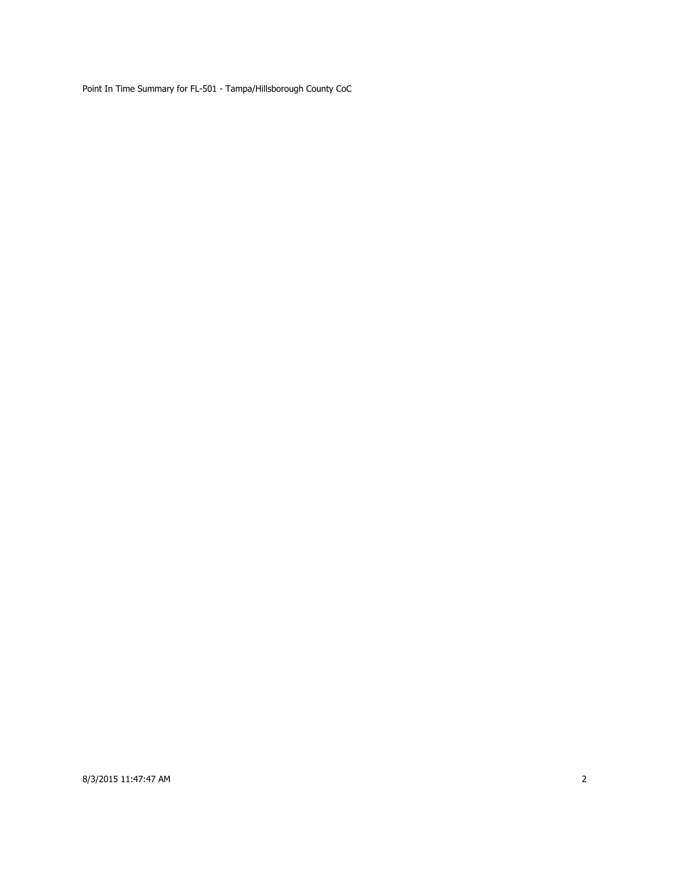Point In Time Summary for FL-501 - Tampa/Hillsborough County CoC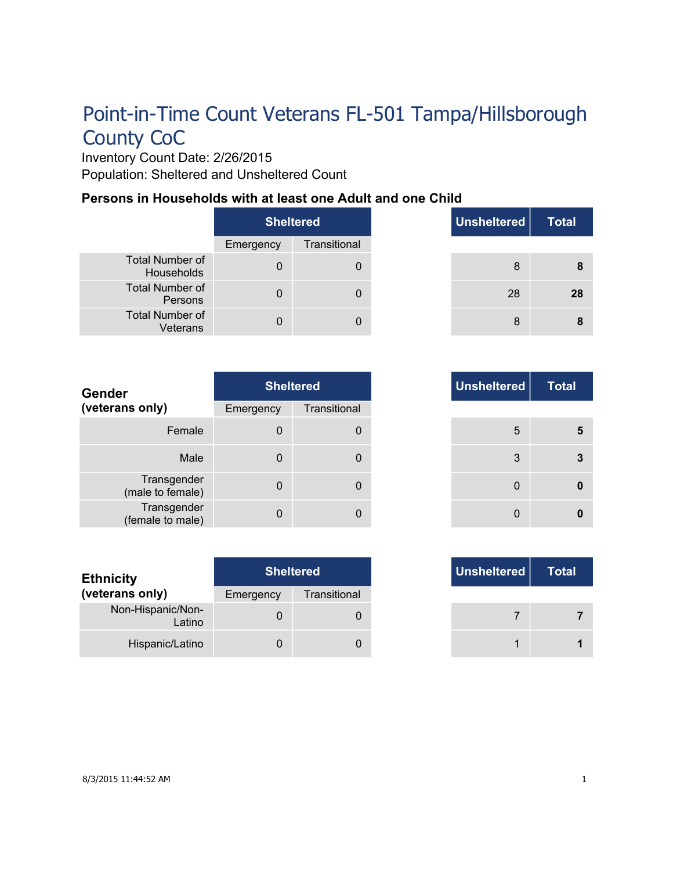Inventory Count Date: 2/26/2015 Population: Sheltered and Unsheltered Count

#### **Persons in Households with at least one Adult and one Child**

|                                      |           | <b>Sheltered</b> |
|--------------------------------------|-----------|------------------|
|                                      | Emergency | Transitional     |
| <b>Total Number of</b><br>Households | 0         |                  |
| Total Number of<br>Persons           |           |                  |
| <b>Total Number of</b><br>Veterans   |           |                  |

| <b>Total</b> | <b>Unsheltered</b> | <b>Sheltered</b> |          |
|--------------|--------------------|------------------|----------|
|              |                    | Transitional     | ٦cγ      |
|              | 8                  | 0                | $\Omega$ |
| 28           | 28                 | 0                | $\Omega$ |
|              | 8                  | $\Gamma$         | O        |

| Gender                          |           | <b>Sheltered</b> |
|---------------------------------|-----------|------------------|
| (veterans only)                 | Emergency | Transitional     |
| Female                          | 0         | 0                |
| Male                            | $\Omega$  | 0                |
| Transgender<br>(male to female) | $\Omega$  | 0                |
| Transgender<br>(female to male) | 0         |                  |

| <b>Ethnicity</b>            |           | <b>Sheltered</b> | Unsheltered |
|-----------------------------|-----------|------------------|-------------|
| (veterans only)             | Emergency | Transitional     |             |
| Non-Hispanic/Non-<br>Latino |           |                  |             |
| Hispanic/Latino             |           |                  |             |

|          | <b>Sheltered</b> |
|----------|------------------|
| าcy      | Transitional     |
| $\Omega$ | 0                |
| $\Omega$ | 0                |
| 0        | $\Omega$         |
| 0        | 0                |

|     | <b>Sheltered</b> |
|-----|------------------|
| ٦CV | Transitional     |
| 0   |                  |
|     |                  |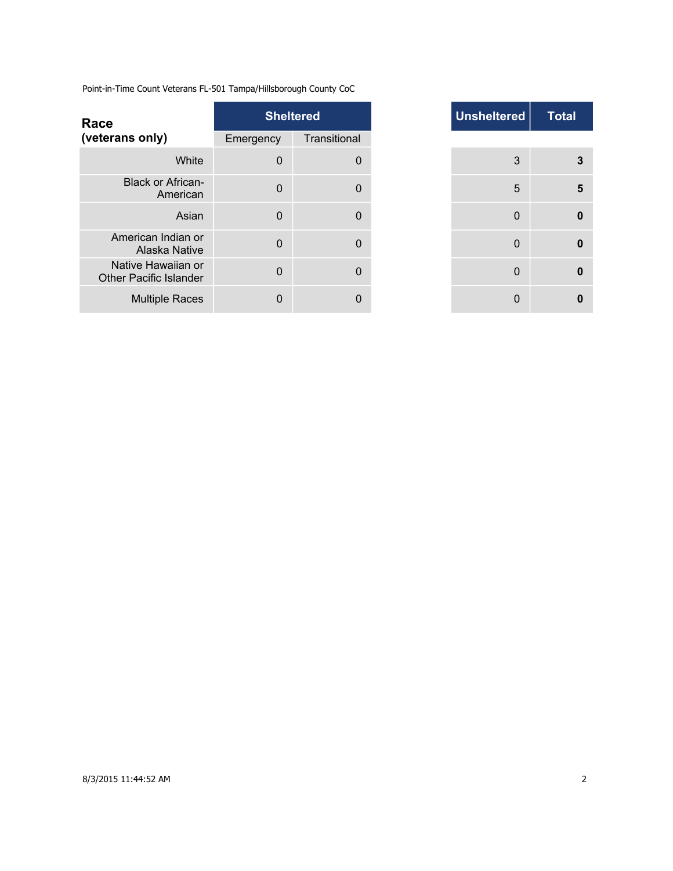| (veterans only)<br>Transitional<br>Emergency<br>White<br>0<br>0<br><b>Black or African-</b><br>$\mathbf 0$<br>0<br>American<br>0<br>Asian<br>0 |
|------------------------------------------------------------------------------------------------------------------------------------------------|
|                                                                                                                                                |
|                                                                                                                                                |
|                                                                                                                                                |
|                                                                                                                                                |
| American Indian or<br>$\overline{0}$<br>0<br>Alaska Native                                                                                     |
| Native Hawaiian or<br>$\mathbf 0$<br>0<br><b>Other Pacific Islander</b>                                                                        |
| <b>Multiple Races</b><br>0<br>0<br>0                                                                                                           |

| <b>Sheltered</b> |              |             |          | Unsheltered | <b>Total</b> |
|------------------|--------------|-------------|----------|-------------|--------------|
| าcy              | Transitional |             |          |             |              |
| $\mathbf 0$      | 0            | 3           | 3        |             |              |
| $\Omega$         | $\mathbf{0}$ | 5           | 5        |             |              |
| $\Omega$         | $\mathbf{0}$ | $\mathbf 0$ | $\bf{0}$ |             |              |
| $\Omega$         | $\mathbf{0}$ | $\mathbf 0$ | $\bf{0}$ |             |              |
| $\Omega$         | $\mathbf{0}$ | $\mathbf 0$ | 0        |             |              |
| n                | 0            | 0           | 0        |             |              |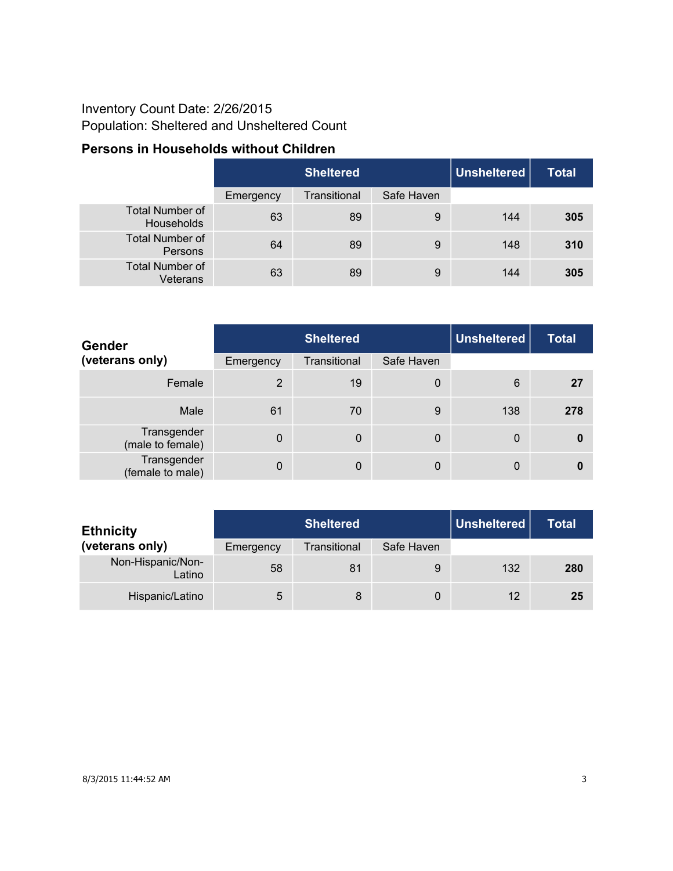# Inventory Count Date: 2/26/2015 Population: Sheltered and Unsheltered Count

## **Persons in Households without Children**

|                                      | <b>Sheltered</b> |              |            | Unsheltered | <b>Total</b> |
|--------------------------------------|------------------|--------------|------------|-------------|--------------|
|                                      | Emergency        | Transitional | Safe Haven |             |              |
| <b>Total Number of</b><br>Households | 63               | 89           | 9          | 144         | 305          |
| <b>Total Number of</b><br>Persons    | 64               | 89           | 9          | 148         | 310          |
| <b>Total Number of</b><br>Veterans   | 63               | 89           | 9          | 144         | 305          |

| <b>Gender</b>                   |              | <b>Sheltered</b> |             | <b>Unsheltered</b> | <b>Total</b> |
|---------------------------------|--------------|------------------|-------------|--------------------|--------------|
| (veterans only)                 | Emergency    | Transitional     | Safe Haven  |                    |              |
| Female                          | 2            | 19               | $\mathbf 0$ | 6                  | 27           |
| Male                            | 61           | 70               | 9           | 138                | 278          |
| Transgender<br>(male to female) | $\mathbf{0}$ | 0                | 0           | 0                  | 0            |
| Transgender<br>(female to male) | $\mathbf 0$  | 0                | 0           | 0                  | 0            |

| <b>Ethnicity</b>            | <b>Sheltered</b> |              |            | Unsheltered | <b>Total</b> |
|-----------------------------|------------------|--------------|------------|-------------|--------------|
| (veterans only)             | Emergency        | Transitional | Safe Haven |             |              |
| Non-Hispanic/Non-<br>Latino | 58               | 81           | 9          | 132         | 280          |
| Hispanic/Latino             | 5                | 8            | 0          | 12          | 25           |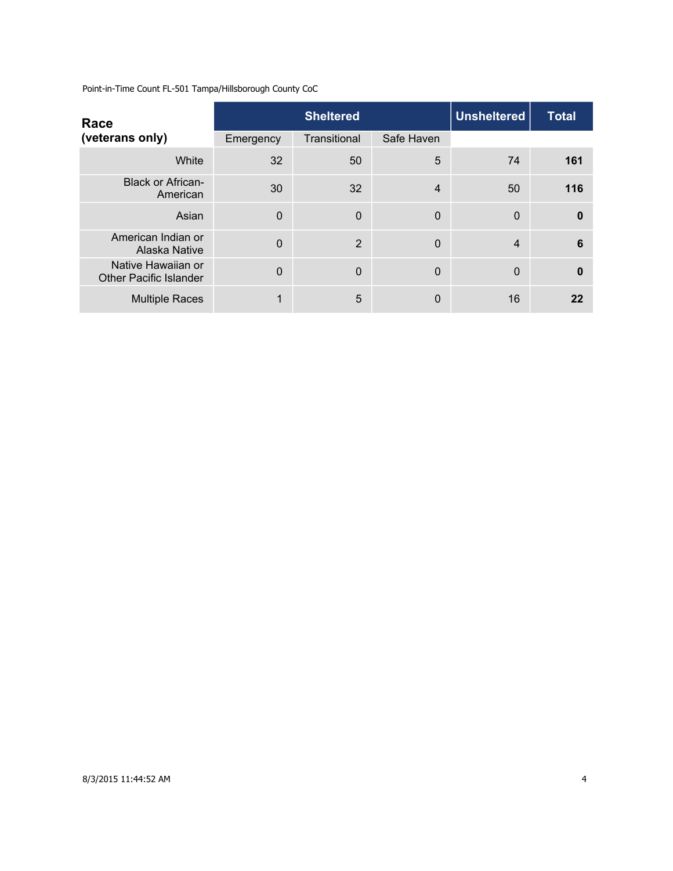| Race                                                | <b>Sheltered</b> |              |            | Unsheltered | <b>Total</b> |
|-----------------------------------------------------|------------------|--------------|------------|-------------|--------------|
| (veterans only)                                     | Emergency        | Transitional | Safe Haven |             |              |
| White                                               | 32               | 50           | 5          | 74          | 161          |
| <b>Black or African-</b><br>American                | 30               | 32           | 4          | 50          | 116          |
| Asian                                               | $\overline{0}$   | $\Omega$     | 0          | $\Omega$    | $\bf{0}$     |
| American Indian or<br>Alaska Native                 | $\overline{0}$   | 2            | 0          | 4           | 6            |
| Native Hawaiian or<br><b>Other Pacific Islander</b> | 0                | $\mathbf{0}$ | 0          | $\Omega$    | $\bf{0}$     |
| <b>Multiple Races</b>                               | 1                | 5            | 0          | 16          | 22           |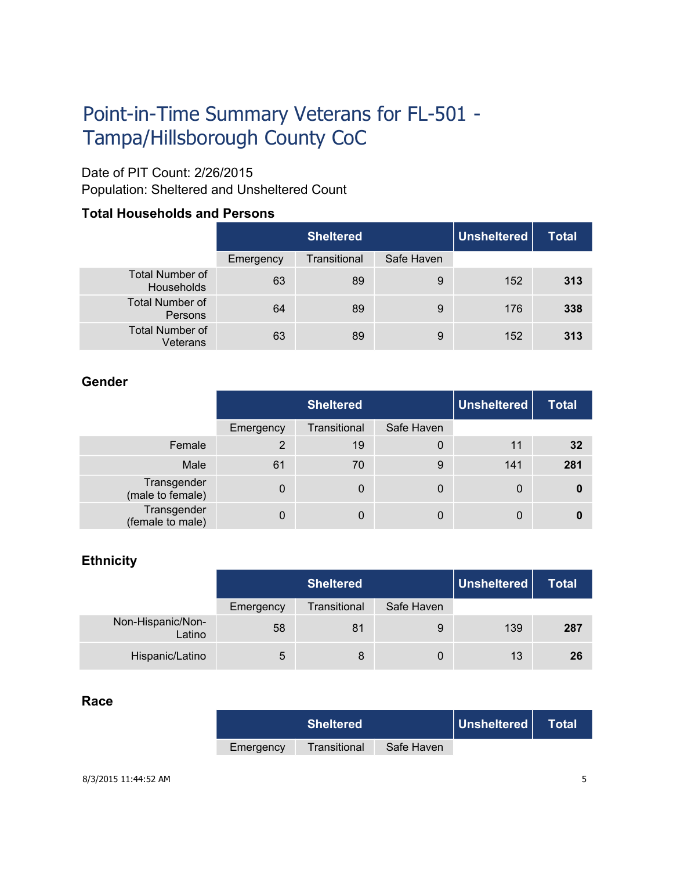# Point-in-Time Summary Veterans for FL-501 - Tampa/Hillsborough County CoC

## Date of PIT Count: 2/26/2015

Population: Sheltered and Unsheltered Count

### **Total Households and Persons**

|                                      | <b>Sheltered</b> |              |            | Unsheltered | <b>Total</b> |
|--------------------------------------|------------------|--------------|------------|-------------|--------------|
|                                      | Emergency        | Transitional | Safe Haven |             |              |
| <b>Total Number of</b><br>Households | 63               | 89           | 9          | 152         | 313          |
| <b>Total Number of</b><br>Persons    | 64               | 89           | 9          | 176         | 338          |
| <b>Total Number of</b><br>Veterans   | 63               | 89           | 9          | 152         | 313          |

#### **Gender**

|                                 | <b>Sheltered</b> |              |            | Unsheltered | <b>Total</b> |
|---------------------------------|------------------|--------------|------------|-------------|--------------|
|                                 | Emergency        | Transitional | Safe Haven |             |              |
| Female                          | 2                | 19           | 0          | 11          | 32           |
| Male                            | 61               | 70           | 9          | 141         | 281          |
| Transgender<br>(male to female) | 0                | 0            | 0          | 0           | 0            |
| Transgender<br>(female to male) | 0                | 0            | 0          | 0           |              |

# **Ethnicity**

|                             | <b>Sheltered</b> |              |            | Unsheltered | <b>Total</b> |
|-----------------------------|------------------|--------------|------------|-------------|--------------|
|                             | Emergency        | Transitional | Safe Haven |             |              |
| Non-Hispanic/Non-<br>Latino | 58               | 81           | 9          | 139         | 287          |
| Hispanic/Latino             | 5                | 8            | 0          | 13          | 26           |

#### **Race**

|           | <b>Sheltered</b> |            |  | Unsheltered<br>l Total <sup>\</sup> |
|-----------|------------------|------------|--|-------------------------------------|
| Emergency | Transitional     | Safe Haven |  |                                     |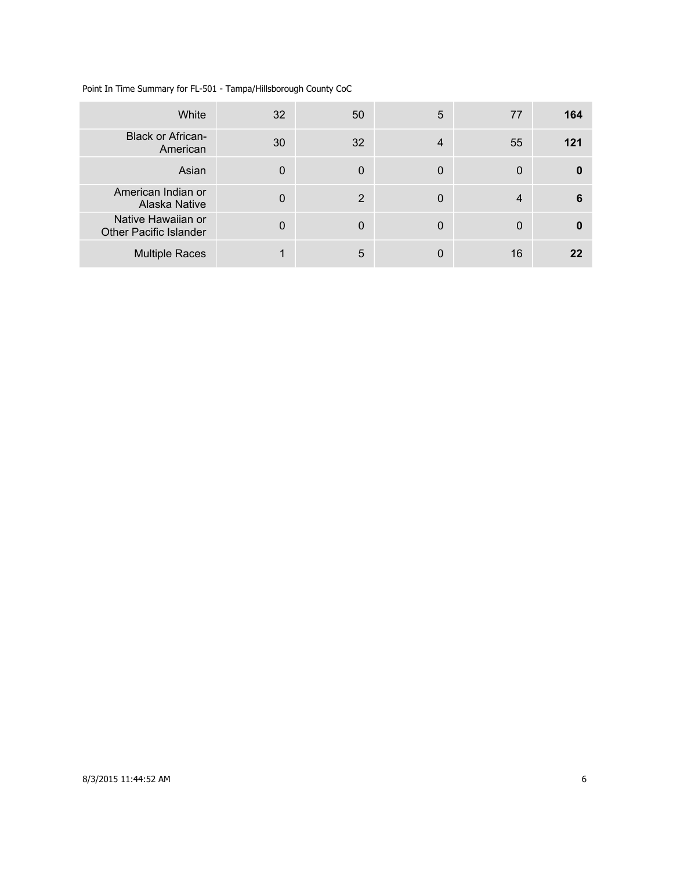| Point In Time Summary for FL-501 - Tampa/Hillsborough County CoC |  |
|------------------------------------------------------------------|--|
|------------------------------------------------------------------|--|

| White                                               | 32             | 50       | 5              | 77 | 164 |
|-----------------------------------------------------|----------------|----------|----------------|----|-----|
| <b>Black or African-</b><br>American                | 30             | 32       | $\overline{4}$ | 55 | 121 |
| Asian                                               | 0              | $\Omega$ | $\Omega$       | 0  |     |
| American Indian or<br>Alaska Native                 | 0              | 2        | $\Omega$       | 4  | 6   |
| Native Hawaiian or<br><b>Other Pacific Islander</b> | $\overline{0}$ | $\Omega$ | $\Omega$       | 0  |     |
| <b>Multiple Races</b>                               | ◢              | 5        | 0              | 16 | 22  |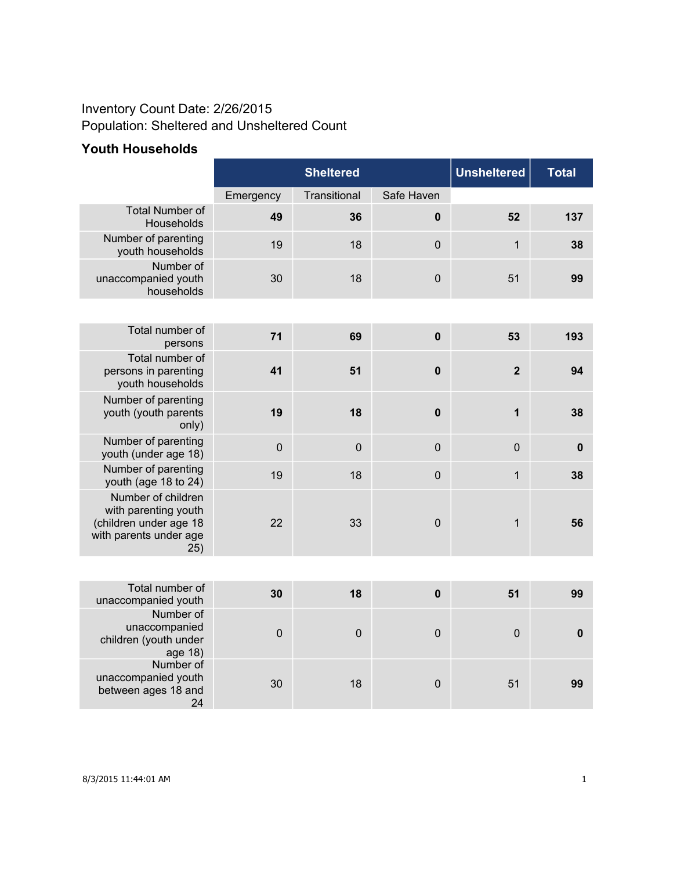# Inventory Count Date: 2/26/2015 Population: Sheltered and Unsheltered Count

### **Youth Households**

|                                                                                                       |                | <b>Sheltered</b> |                |                | <b>Total</b> |
|-------------------------------------------------------------------------------------------------------|----------------|------------------|----------------|----------------|--------------|
|                                                                                                       | Emergency      | Transitional     | Safe Haven     |                |              |
| <b>Total Number of</b><br>Households                                                                  | 49             | 36               | 0              | 52             | 137          |
| Number of parenting<br>youth households                                                               | 19             | 18               | $\mathbf 0$    | $\mathbf{1}$   | 38           |
| Number of<br>unaccompanied youth<br>households                                                        | 30             | 18               | $\mathbf 0$    | 51             | 99           |
|                                                                                                       |                |                  |                |                |              |
| Total number of<br>persons                                                                            | 71             | 69               | $\bf{0}$       | 53             | 193          |
| Total number of<br>persons in parenting<br>youth households                                           | 41             | 51               | $\mathbf 0$    | $\overline{2}$ | 94           |
| Number of parenting<br>youth (youth parents<br>only)                                                  | 19             | 18               | $\mathbf 0$    | 1              | 38           |
| Number of parenting<br>youth (under age 18)                                                           | $\overline{0}$ | $\overline{0}$   | $\overline{0}$ | $\overline{0}$ | $\mathbf 0$  |
| Number of parenting<br>youth (age 18 to 24)                                                           | 19             | 18               | $\overline{0}$ | $\mathbf{1}$   | 38           |
| Number of children<br>with parenting youth<br>(children under age 18<br>with parents under age<br>25) | 22             | 33               | $\mathbf 0$    | $\overline{1}$ | 56           |
|                                                                                                       |                |                  |                |                |              |
| Total number of<br>unaccompanied youth                                                                | 30             | 18               | $\mathbf 0$    | 51             | 99           |
| Number of<br>unaccompanied<br>children (youth under<br>age 18)                                        | $\overline{0}$ | $\mathbf 0$      | $\mathbf 0$    | $\overline{0}$ | $\mathbf 0$  |
| Number of<br>unaccompanied youth<br>between ages 18 and<br>24                                         | 30             | 18               | $\mathbf 0$    | 51             | 99           |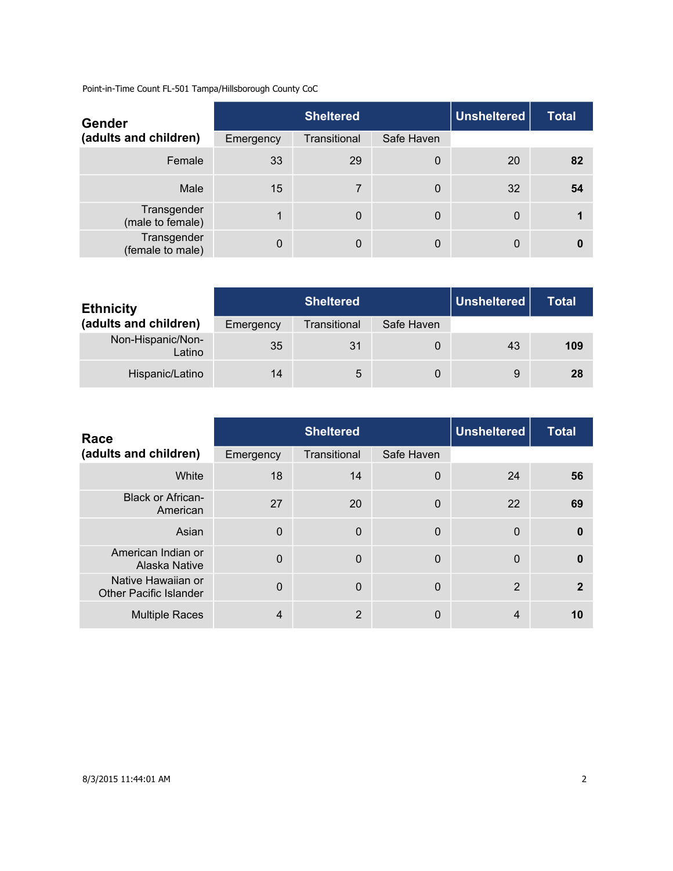| <b>Gender</b>                   |             | <b>Sheltered</b> |            | <b>Unsheltered</b> | <b>Total</b> |
|---------------------------------|-------------|------------------|------------|--------------------|--------------|
| (adults and children)           | Emergency   | Transitional     | Safe Haven |                    |              |
| Female                          | 33          | 29               | 0          | <b>20</b>          | 82           |
| Male                            | 15          | $\overline{7}$   | 0          | 32                 | 54           |
| Transgender<br>(male to female) |             | $\mathbf 0$      | 0          | 0                  |              |
| Transgender<br>(female to male) | $\mathbf 0$ | 0                | 0          | 0                  |              |

| <b>Ethnicity</b>            |           | <b>Sheltered</b> |            | Unsheltered | <b>Total</b> |
|-----------------------------|-----------|------------------|------------|-------------|--------------|
| (adults and children)       | Emergency | Transitional     | Safe Haven |             |              |
| Non-Hispanic/Non-<br>Latino | 35        | 31               | 0          | 43          | 109          |
| Hispanic/Latino             | 14        | 5                | 0          | 9           | 28           |

| Race                                                |                | <b>Sheltered</b> |             | <b>Unsheltered</b> | <b>Total</b> |
|-----------------------------------------------------|----------------|------------------|-------------|--------------------|--------------|
| (adults and children)                               | Emergency      | Transitional     | Safe Haven  |                    |              |
| White                                               | 18             | 14               | $\mathbf 0$ | 24                 | 56           |
| <b>Black or African-</b><br>American                | 27             | 20               | $\Omega$    | 22                 | 69           |
| Asian                                               | $\Omega$       | $\mathbf 0$      | $\Omega$    | $\Omega$           | $\bf{0}$     |
| American Indian or<br>Alaska Native                 | $\Omega$       | $\mathbf 0$      | $\mathbf 0$ | $\Omega$           | $\bf{0}$     |
| Native Hawaiian or<br><b>Other Pacific Islander</b> | $\Omega$       | $\mathbf 0$      | $\Omega$    | $\overline{2}$     | $\mathbf{2}$ |
| <b>Multiple Races</b>                               | $\overline{4}$ | 2                | 0           | $\overline{4}$     | 10           |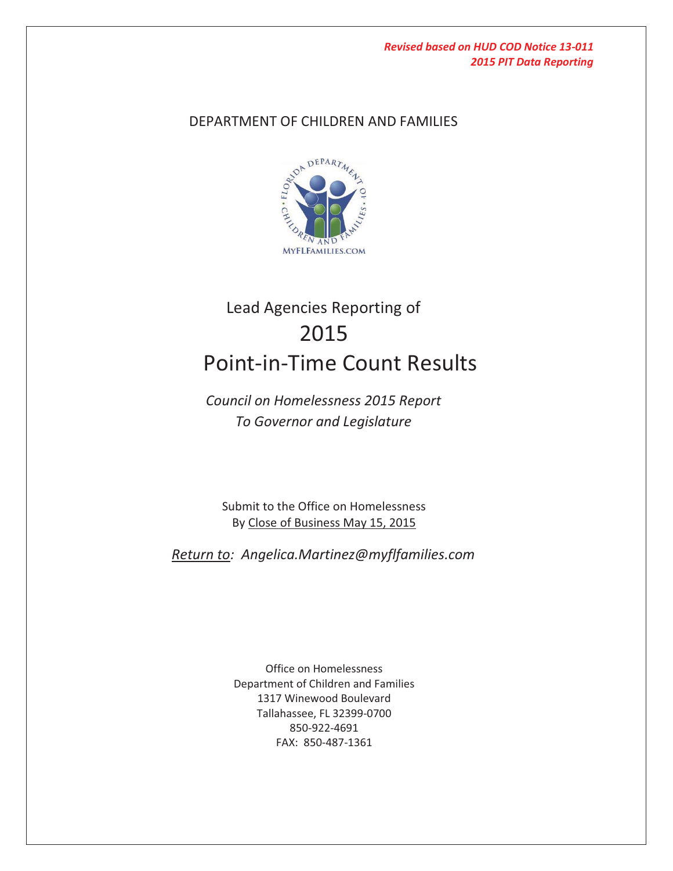### DEPARTMENT OF CHILDREN AND FAMILIES



# Lead Agencies Reporting of 2015 Point-in-Time Count Results

*Council on Homelessness 2015 Report To Governor and Legislature* 

Submit to the Office on Homelessness By Close of Business May 15, 2015

*Return to: Angelica.Martinez@myflfamilies.com* 

Office on Homelessness Department of Children and Families 1317 Winewood Boulevard Tallahassee, FL 32399-0700 850-922-4691 FAX: 850-487-1361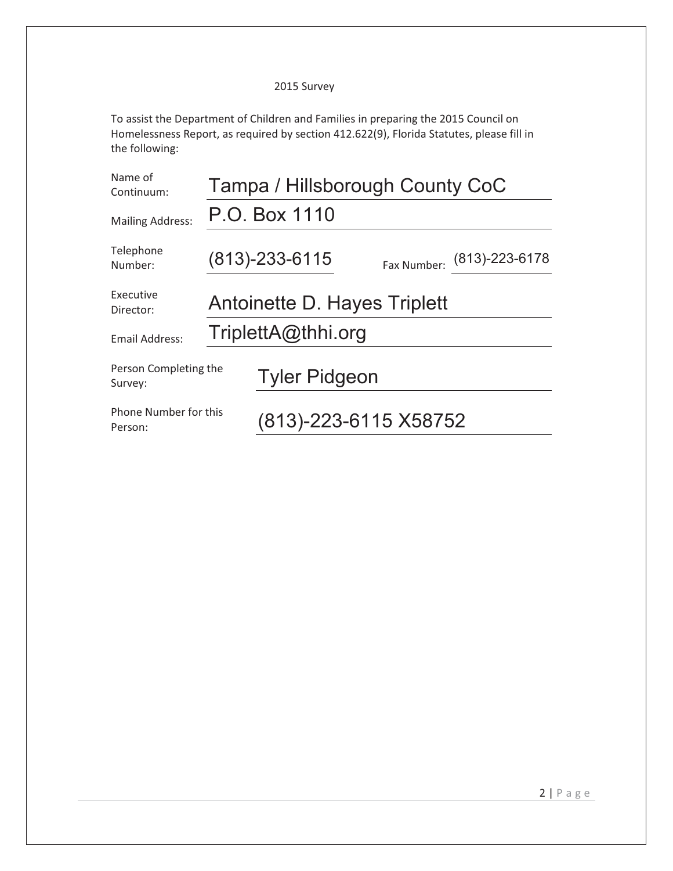# 2015 Survey

To assist the Department of Children and Families in preparing the 2015 Council on Homelessness Report, as required by section 412.622(9), Florida Statutes, please fill in the following:

| Name of<br>Continuum:            | Tampa / Hillsborough County CoC |                       |  |  |                            |
|----------------------------------|---------------------------------|-----------------------|--|--|----------------------------|
| <b>Mailing Address:</b>          |                                 | P.O. Box 1110         |  |  |                            |
| Telephone<br>Number:             |                                 | $(813)-233-6115$      |  |  | Fax Number: (813)-223-6178 |
| Executive<br>Director:           | Antoinette D. Hayes Triplett    |                       |  |  |                            |
| <b>Email Address:</b>            | TriplettA@thhi.org              |                       |  |  |                            |
| Person Completing the<br>Survey: |                                 | <b>Tyler Pidgeon</b>  |  |  |                            |
| Phone Number for this<br>Person: |                                 | (813)-223-6115 X58752 |  |  |                            |

2 | Page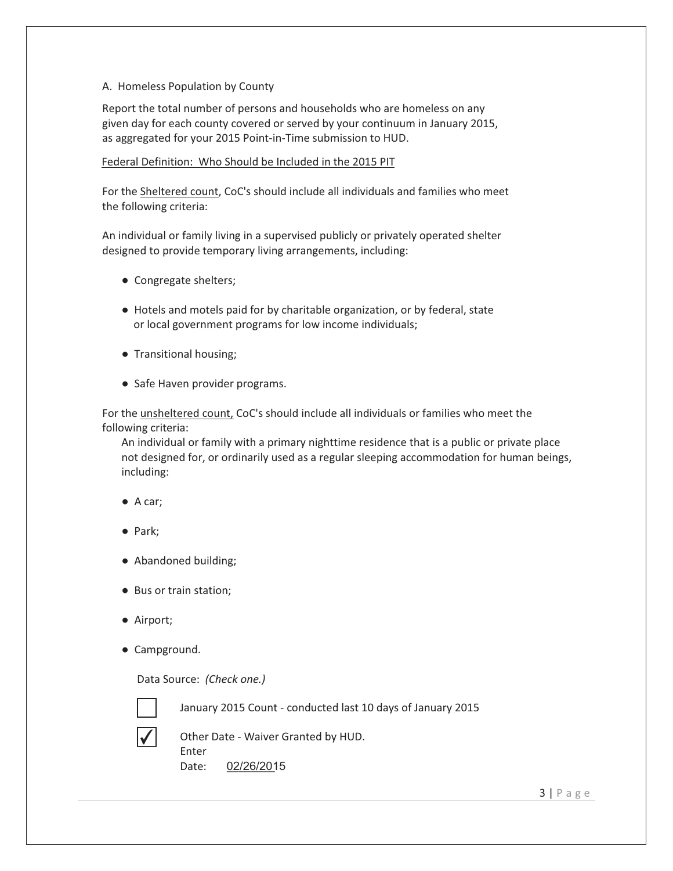#### A. Homeless Population by County

Report the total number of persons and households who are homeless on any given day for each county covered or served by your continuum in January 2015, as aggregated for your 2015 Point-in-Time submission to HUD.

#### Federal Definition: Who Should be Included in the 2015 PIT

For the Sheltered count, CoC's should include all individuals and families who meet the following criteria:

An individual or family living in a supervised publicly or privately operated shelter designed to provide temporary living arrangements, including:

- Congregate shelters;
- Hotels and motels paid for by charitable organization, or by federal, state or local government programs for low income individuals;
- Transitional housing;
- Safe Haven provider programs.

For the unsheltered count, CoC's should include all individuals or families who meet the following criteria:

An individual or family with a primary nighttime residence that is a public or private place not designed for, or ordinarily used as a regular sleeping accommodation for human beings, including:

- A car;
- Park;
- Abandoned building;
- Bus or train station;
- Airport;
- Campground.

Data Source: *(Check one.)*



January 2015 Count - conducted last 10 days of January 2015



Other Date - Waiver Granted by HUD. Enter Date: 02/26/2015

3 | Page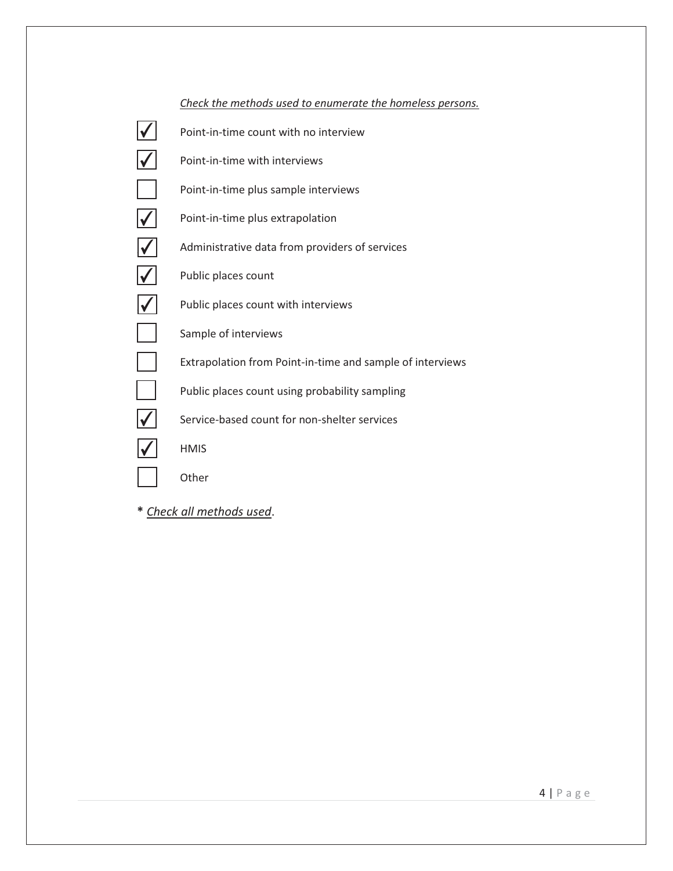#### *Check the methods used to enumerate the homeless persons.*



**\*** *Check all methods used*.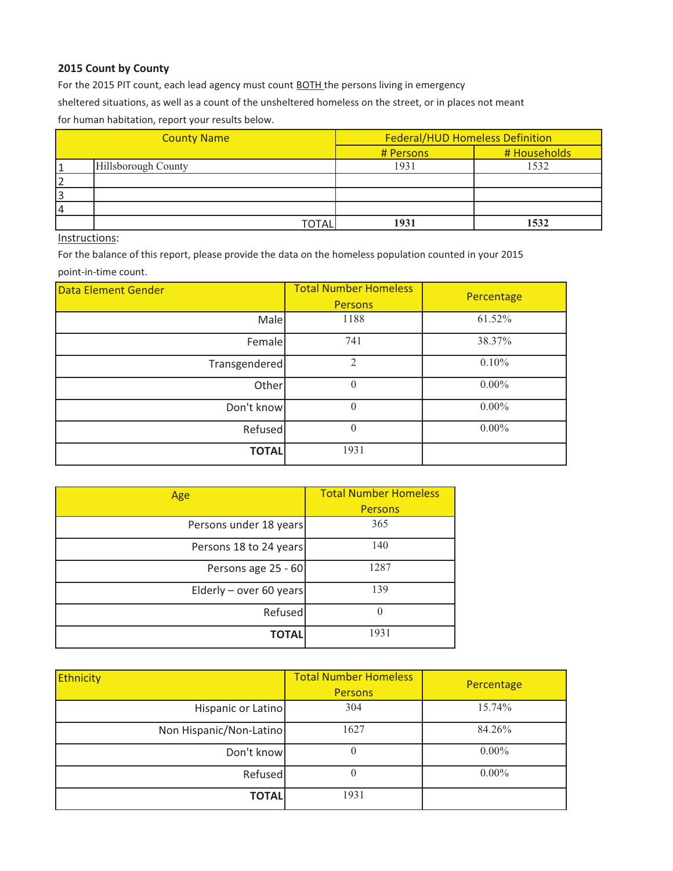#### **2015 Count by County**

For the 2015 PIT count, each lead agency must count **BOTH** the persons living in emergency sheltered situations, as well as a count of the unsheltered homeless on the street, or in places not meant for human habitation, report your results below.

| <b>County Name</b> |                     | <b>Federal/HUD Homeless Definition</b> |              |
|--------------------|---------------------|----------------------------------------|--------------|
|                    |                     | # Persons                              | # Households |
|                    | Hillsborough County | 1931                                   | 1532         |
| 2                  |                     |                                        |              |
| 13                 |                     |                                        |              |
| 14                 |                     |                                        |              |
|                    | TOTAL               | 1931                                   | 1532         |

Instructions:

For the balance of this report, please provide the data on the homeless population counted in your 2015 point-in-time count.

| <b>Data Element Gender</b> | <b>Total Number Homeless</b><br><b>Persons</b> | Percentage |
|----------------------------|------------------------------------------------|------------|
| Male                       | 1188                                           | 61.52%     |
| Female                     | 741                                            | 38.37%     |
| <b>Transgendered</b>       | $\mathfrak{D}$                                 | 0.10%      |
| Other                      | $\Omega$                                       | $0.00\%$   |
| Don't know                 | $\theta$                                       | $0.00\%$   |
| Refused                    | $\theta$                                       | $0.00\%$   |
| <b>TOTAL</b>               | 1931                                           |            |

| Age                     | <b>Total Number Homeless</b><br>Persons |
|-------------------------|-----------------------------------------|
| Persons under 18 years  | 365                                     |
| Persons 18 to 24 years  | 140                                     |
| Persons age 25 - 60     | 1287                                    |
| Elderly - over 60 years | 139                                     |
| Refused                 | $\Omega$                                |
| ΤΟΤΑL                   | 1931                                    |

| <b>Ethnicity</b>        | <b>Total Number Homeless</b><br><b>Persons</b> | Percentage |
|-------------------------|------------------------------------------------|------------|
| Hispanic or Latino      | 304                                            | 15.74%     |
| Non Hispanic/Non-Latino | 1627                                           | 84.26%     |
| Don't know              |                                                | $0.00\%$   |
| Refused                 |                                                | $0.00\%$   |
| <b>TOTAL</b>            | 1931                                           |            |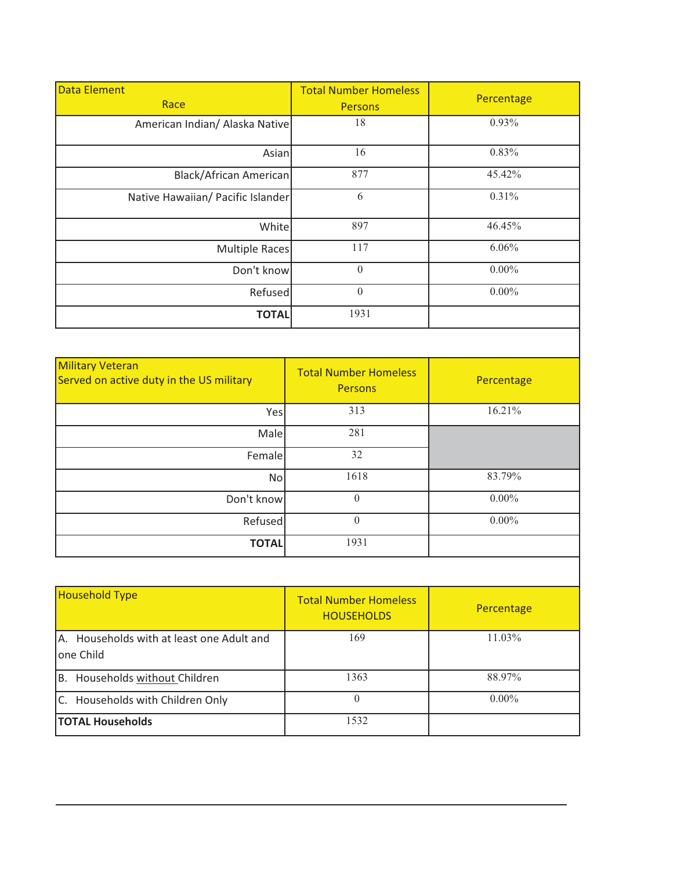| Data Element<br>Race              | <b>Total Number Homeless</b><br><b>Persons</b> | Percentage |
|-----------------------------------|------------------------------------------------|------------|
| American Indian/ Alaska Native    | 18                                             | 0.93%      |
| Asian                             | 16                                             | 0.83%      |
| <b>Black/African American</b>     | 877                                            | 45.42%     |
| Native Hawaiian/ Pacific Islander | 6                                              | 0.31%      |
| White                             | 897                                            | 46.45%     |
| Multiple Races                    | 117                                            | 6.06%      |
| Don't know                        | $\theta$                                       | $0.00\%$   |
| Refused                           | $\boldsymbol{0}$                               | $0.00\%$   |
| <b>TOTAL</b>                      | 1931                                           |            |

| <b>Military Veteran</b><br>Served on active duty in the US military | <b>Total Number Homeless</b><br>Persons | Percentage |
|---------------------------------------------------------------------|-----------------------------------------|------------|
| Yes                                                                 | 313                                     | 16.21%     |
| Male                                                                | 281                                     |            |
| Female                                                              | 32                                      |            |
| No <sub>l</sub>                                                     | 1618                                    | 83.79%     |
| Don't know                                                          | $\theta$                                | $0.00\%$   |
| Refused                                                             | $\theta$                                | $0.00\%$   |
| <b>TOTAL</b>                                                        | 1931                                    |            |

| <b>Household Type</b>                                   | <b>Total Number Homeless</b><br><b>HOUSEHOLDS</b> | Percentage |
|---------------------------------------------------------|---------------------------------------------------|------------|
| A. Households with at least one Adult and<br>lone Child | 169                                               | 11.03%     |
| B. Households without Children                          | 1363                                              | 88.97%     |
| C. Households with Children Only                        | $\theta$                                          | $0.00\%$   |
| <b>TOTAL Households</b>                                 | 1532                                              |            |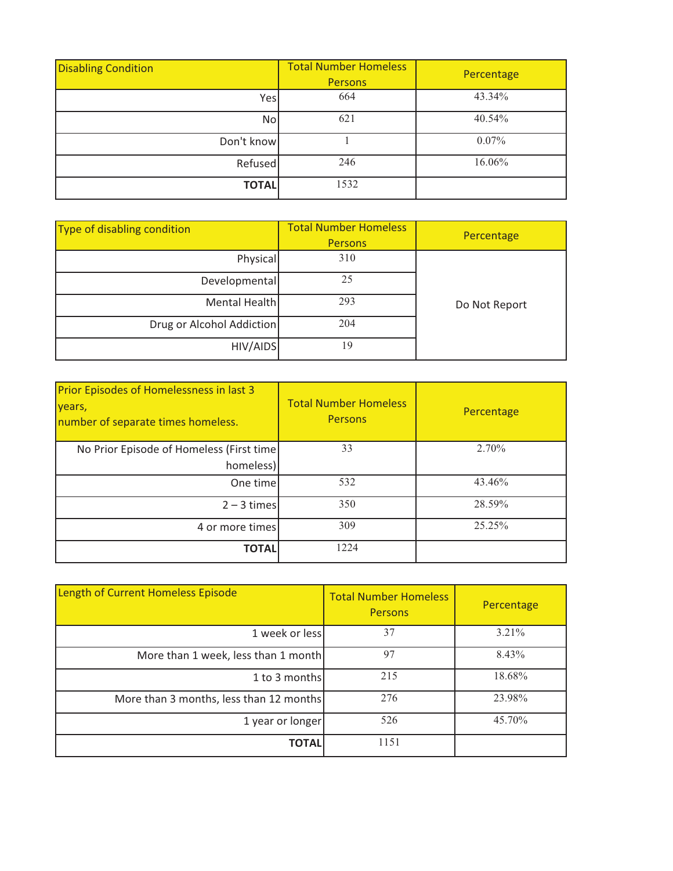| <b>Disabling Condition</b> | <b>Total Number Homeless</b><br>Persons | Percentage |
|----------------------------|-----------------------------------------|------------|
| Yes                        | 664                                     | 43.34%     |
| No                         | 621                                     | 40.54%     |
| Don't know                 |                                         | $0.07\%$   |
| Refused                    | 246                                     | 16.06%     |
| <b>TOTAL</b>               | 1532                                    |            |

| Type of disabling condition | <b>Total Number Homeless</b><br><b>Persons</b> | Percentage    |  |
|-----------------------------|------------------------------------------------|---------------|--|
| Physical                    | 310                                            |               |  |
| Developmental               | 25                                             |               |  |
| Mental Health               | 293                                            | Do Not Report |  |
| Drug or Alcohol Addiction   | 204                                            |               |  |
| HIV/AIDS                    | 19                                             |               |  |

| Prior Episodes of Homelessness in last 3<br>years,<br>number of separate times homeless. | <b>Total Number Homeless</b><br><b>Persons</b> | Percentage |
|------------------------------------------------------------------------------------------|------------------------------------------------|------------|
| No Prior Episode of Homeless (First time)                                                | 33                                             | 2.70%      |
| homeless)                                                                                |                                                |            |
| One time                                                                                 | 532                                            | 43.46%     |
| $2 - 3$ times                                                                            | 350                                            | 28.59%     |
| 4 or more times                                                                          | 309                                            | 25.25%     |
| <b>TOTAL</b>                                                                             | 1224                                           |            |

| Length of Current Homeless Episode      | <b>Total Number Homeless</b><br>Persons | Percentage |
|-----------------------------------------|-----------------------------------------|------------|
| 1 week or less                          | 37                                      | $3.21\%$   |
| More than 1 week, less than 1 month     | 97                                      | $8.43\%$   |
| 1 to 3 months                           | 215                                     | 18.68%     |
| More than 3 months, less than 12 months | 276                                     | 23.98%     |
| 1 year or longer                        | 526                                     | 45.70%     |
| <b>TOTAL</b>                            | 1151                                    |            |